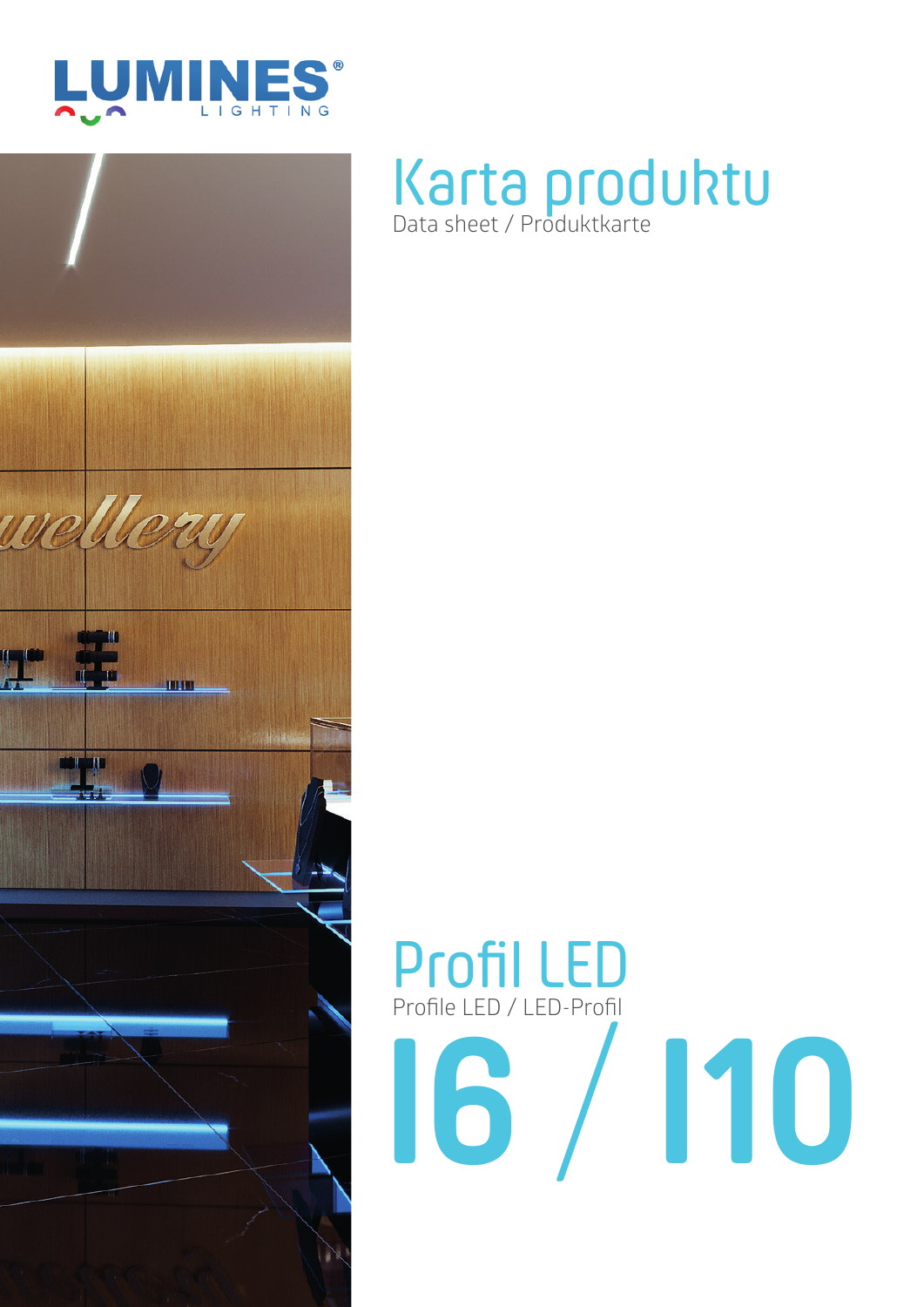



# Karta produktu Data sheet / Produktkarte

# Profil LED Profile LED / LED-Profil **I6** / **I10**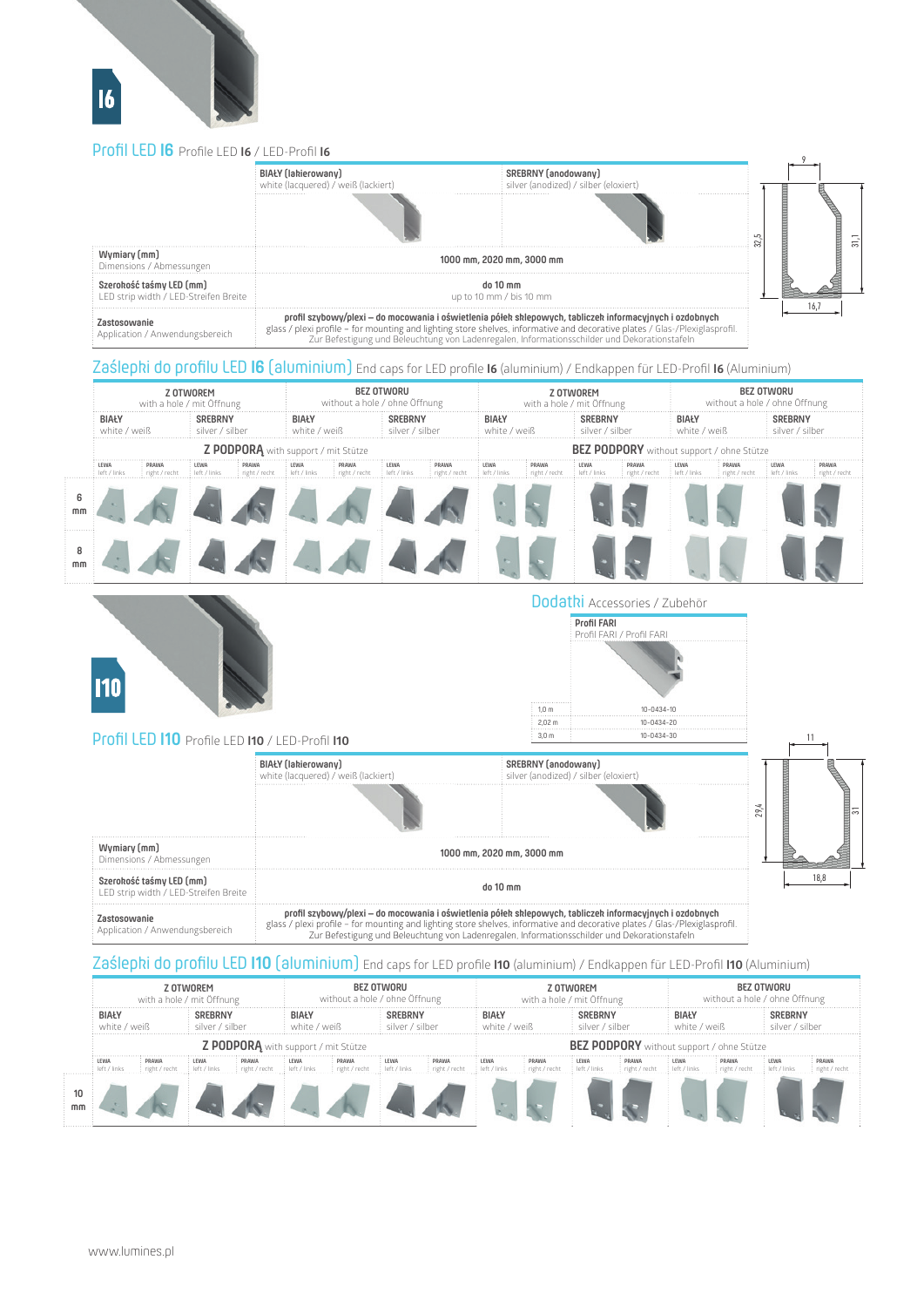# Profil LED **I6** Profile LED **I6** / LED-Profil **I6**



## Zaślepki do profilu LED **I6** (aluminium) End caps for LED profile **I6** (aluminium) / Endkappen für LED-Profil **I6** (Aluminium)

|         | Z OTWOREM<br>with a hole / mit Öffnung |                        |                                   |                                            | <b>BEZ OTWORU</b><br>without a hole / ohne Öffnung |                          |                                   |                          | Z OTWOREM<br>with a hole / mit Öffnung |                                 |                                                  |                          | <b>BEZ OTWORU</b><br>without a hole / ohne Öffnung |       |                                   |              |
|---------|----------------------------------------|------------------------|-----------------------------------|--------------------------------------------|----------------------------------------------------|--------------------------|-----------------------------------|--------------------------|----------------------------------------|---------------------------------|--------------------------------------------------|--------------------------|----------------------------------------------------|-------|-----------------------------------|--------------|
|         | BIAŁY<br>white / weiß                  |                        | <b>SREBRNY</b><br>silver / silber |                                            | <b>BIAŁY</b><br>: white / weiß                     |                          | <b>SREBRNY</b><br>silver / silber |                          | BIAŁY<br>white / weiß                  |                                 | <b>SREBRNY</b><br>silver / silber                |                          | BIAŁY<br>white / weiß                              |       | <b>SREBRNY</b><br>silver / silber |              |
|         |                                        |                        |                                   | <b>Z PODPORA</b> with support / mit Stütze |                                                    |                          |                                   |                          |                                        |                                 | <b>BEZ PODPORY</b> without support / ohne Stütze |                          |                                                    |       |                                   |              |
|         | LEWA                                   | PRAWA<br>right / recht | : LEWA<br>left / links            | : PRAWA<br>i right / recht                 | LEWA                                               | PRAWA<br>i right / recht | LEWA                              | PRAWA<br>i right / recht | : LEWA                                 | <b>PRAWA</b><br>: right / recht | LEWA                                             | PRAWA<br>: right / recht | LEWA                                               | PRAWA | LEWA                              | <b>PRAWA</b> |
| b<br>mm |                                        |                        |                                   |                                            |                                                    |                          |                                   |                          |                                        |                                 |                                                  |                          |                                                    |       |                                   |              |
| mm      |                                        |                        |                                   |                                            |                                                    |                          |                                   |                          |                                        |                                 |                                                  |                          |                                                    |       |                                   |              |

| Profil LED 110 Profile LED 110 / LED-Profil 110                   |                                                                                                                                                                                                                                                                                                                                         | 1.0 <sub>m</sub><br>2.02 <sub>m</sub><br>3,0 <sub>m</sub>    | Dodatki Accessories / Zubehör<br><b>Profil FARI</b><br>Profil FARI / Profil FARI<br>$10 - 0434 - 10$<br>10-0434-20<br>$10 - 0434 - 30$ |     | 11   |
|-------------------------------------------------------------------|-----------------------------------------------------------------------------------------------------------------------------------------------------------------------------------------------------------------------------------------------------------------------------------------------------------------------------------------|--------------------------------------------------------------|----------------------------------------------------------------------------------------------------------------------------------------|-----|------|
|                                                                   | BIAŁY (lakierowany)<br>white (lacquered) / weiß (lackiert)                                                                                                                                                                                                                                                                              | SREBRNY (anodowany)<br>silver (anodized) / silber (eloxiert) |                                                                                                                                        | 29. | ಸ    |
| Wymiary (mm)<br>Dimensions / Abmessungen                          |                                                                                                                                                                                                                                                                                                                                         | 1000 mm, 2020 mm, 3000 mm                                    |                                                                                                                                        |     |      |
| Szerokość taśmy LED (mm)<br>LED strip width / LED-Streifen Breite |                                                                                                                                                                                                                                                                                                                                         | do 10 mm                                                     |                                                                                                                                        |     | 18,8 |
| Zastosowanie<br>Application / Anwendungsbereich                   | profil szybowy/plexi – do mocowania i oświetlenia półek sklepowych, tabliczek informacyjnych i ozdobnych<br>glass / plexi profile - for mounting and lighting store shelves, informative and decorative plates / Glas-/Plexiglasprofil.<br>Zur Befestigung und Beleuchtung von Ladenregalen, Informationsschilder und Dekorationstafeln |                                                              |                                                                                                                                        |     |      |

# Zaślepki do profilu LED **I10** (aluminium) End caps for LED profile **I10** (aluminium) / Endkappen für LED-Profil **I10** (Aluminium)

| Z OTWOREM<br>with a hole / mit Öffnung |                            |                 |                                          | BEZ OTWORU<br>without a hole / ohne Öffnung |                            |          |       | Z OTWOREM<br>with a hole / mit Öffnung |                                                  |                            |                        | BEZ OTWORU<br>without a hole / ohne Öffnung |       |         |  |
|----------------------------------------|----------------------------|-----------------|------------------------------------------|---------------------------------------------|----------------------------|----------|-------|----------------------------------------|--------------------------------------------------|----------------------------|------------------------|---------------------------------------------|-------|---------|--|
| <b>BIAŁY</b><br>' weiß<br>white /      |                            | silver / silher |                                          | BIAŁY<br>: white / weiß                     |                            | ' silher |       | <b>BIAŁY</b><br>: white / weiß         |                                                  | <b>SRFBRNY</b><br>silher / |                        | <b>BIAŁY</b><br>: white / weiß              |       | SRFRRNY |  |
|                                        |                            |                 | Z PODPORĄ with support / mit Stütze      |                                             |                            |          |       |                                        | <b>BEZ PODPORY</b> without support / ohne Stütze |                            |                        |                                             |       |         |  |
| <b>LEWA</b>                            | : PRAWA<br>: right / recht | : LEWA          | : PRAWA<br>inight / recht inleft / links | : LEWA                                      | : PRAWA<br>i right / recht | : LEWA   | PRAWA | : Lewa<br>i left / links               | : PRAWA<br>i right / recht                       | : LEWA                     | PRAWA<br>ineht / recht | : LEWA<br>left / links                      | PRAWA | LEWA    |  |
|                                        |                            |                 |                                          |                                             |                            |          |       |                                        |                                                  |                            |                        |                                             |       |         |  |